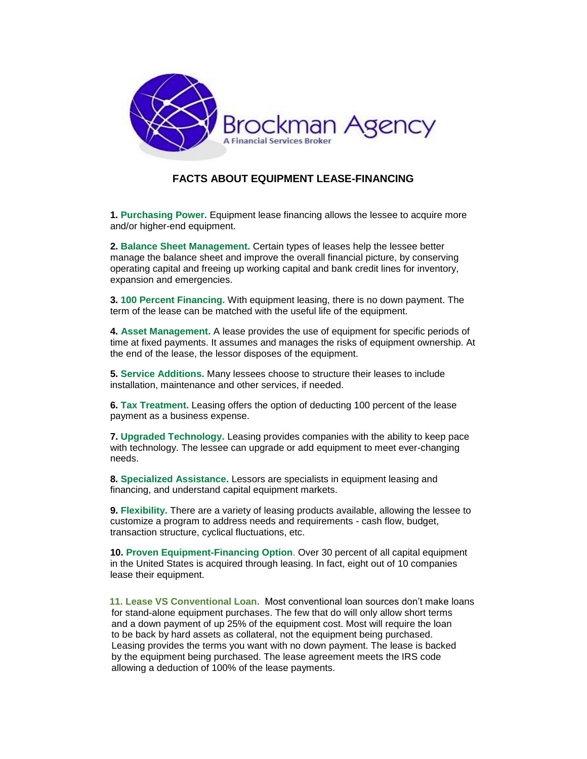

#### **FACTS ABOUT EQUIPMENT LEASE-FINANCING**

**1. Purchasing Power.** Equipment lease financing allows the lessee to acquire more and/or higher-end equipment.

**2. Balance Sheet Management.** Certain types of leases help the lessee better manage the balance sheet and improve the overall financial picture, by conserving operating capital and freeing up working capital and bank credit lines for inventory, expansion and emergencies.

**3. 100 Percent Financing.** With equipment leasing, there is no down payment. The term of the lease can be matched with the useful life of the equipment.

**4. Asset Management.** A lease provides the use of equipment for specific periods of time at fixed payments. It assumes and manages the risks of equipment ownership. At the end of the lease, the lessor disposes of the equipment.

**5. Service Additions.** Many lessees choose to structure their leases to include installation, maintenance and other services, if needed.

**6. Tax Treatment.** Leasing offers the option of deducting 100 percent of the lease payment as a business expense.

**7. Upgraded Technology.** Leasing provides companies with the ability to keep pace with technology. The lessee can upgrade or add equipment to meet ever-changing needs.

**8. Specialized Assistance.** Lessors are specialists in equipment leasing and financing, and understand capital equipment markets.

**9. Flexibility.** There are a variety of leasing products available, allowing the lessee to customize a program to address needs and requirements - cash flow, budget, transaction structure, cyclical fluctuations, etc.

**10. Proven Equipment-Financing Option**. Over 30 percent of all capital equipment in the United States is acquired through leasing. In fact, eight out of 10 companies lease their equipment.

 **11. Lease VS Conventional Loan.** Most conventional loan sources don't make loans for stand-alone equipment purchases. The few that do will only allow short terms and a down payment of up 25% of the equipment cost. Most will require the loan to be back by hard assets as collateral, not the equipment being purchased. Leasing provides the terms you want with no down payment. The lease is backed by the equipment being purchased. The lease agreement meets the IRS code allowing a deduction of 100% of the lease payments.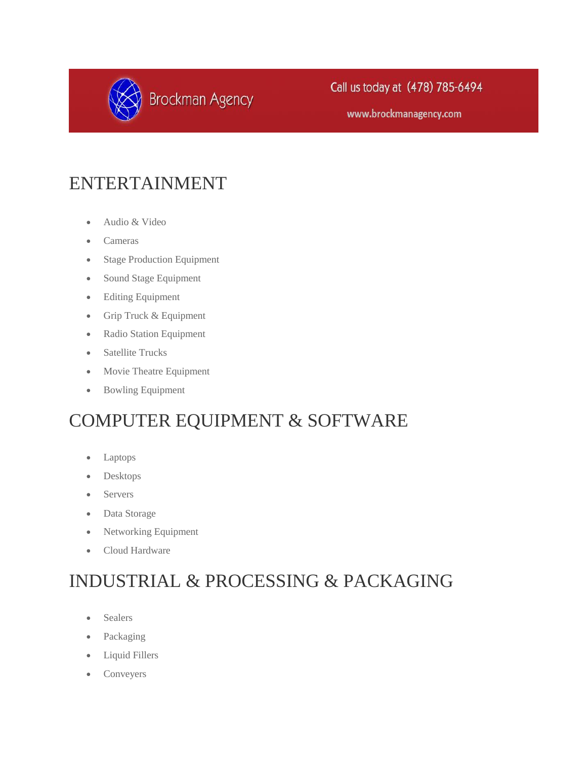

www.brockmanagency.com

#### ENTERTAINMENT

- Audio & Video
- Cameras
- Stage Production Equipment
- Sound Stage Equipment
- Editing Equipment
- Grip Truck & Equipment
- Radio Station Equipment
- Satellite Trucks
- Movie Theatre Equipment
- Bowling Equipment

#### COMPUTER EQUIPMENT & SOFTWARE

- Laptops
- Desktops
- Servers
- Data Storage
- Networking Equipment
- Cloud Hardware

### INDUSTRIAL & PROCESSING & PACKAGING

- Sealers
- Packaging
- Liquid Fillers
- Conveyers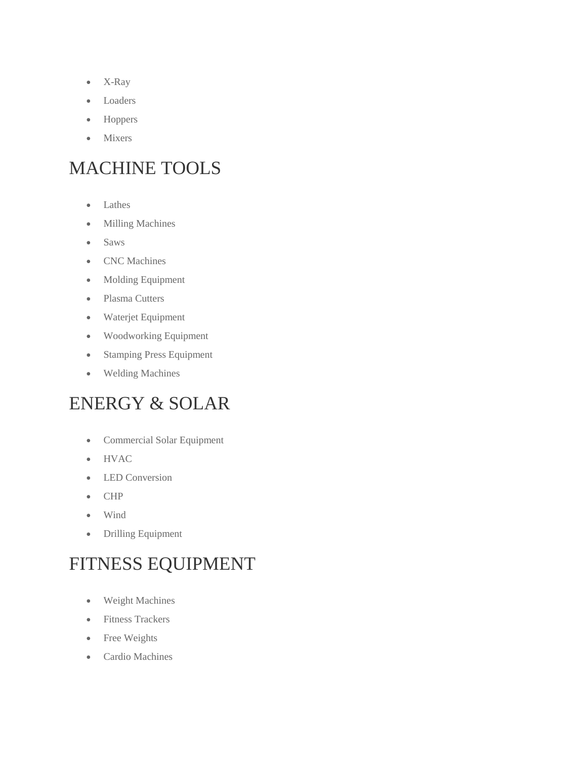- X-Ray
- Loaders
- Hoppers
- Mixers

### MACHINE TOOLS

- Lathes
- Milling Machines
- Saws
- CNC Machines
- Molding Equipment
- Plasma Cutters
- Waterjet Equipment
- Woodworking Equipment
- Stamping Press Equipment
- Welding Machines

#### ENERGY & SOLAR

- Commercial Solar Equipment
- HVAC
- LED Conversion
- CHP
- Wind
- Drilling Equipment

# FITNESS EQUIPMENT

- Weight Machines
- Fitness Trackers
- Free Weights
- Cardio Machines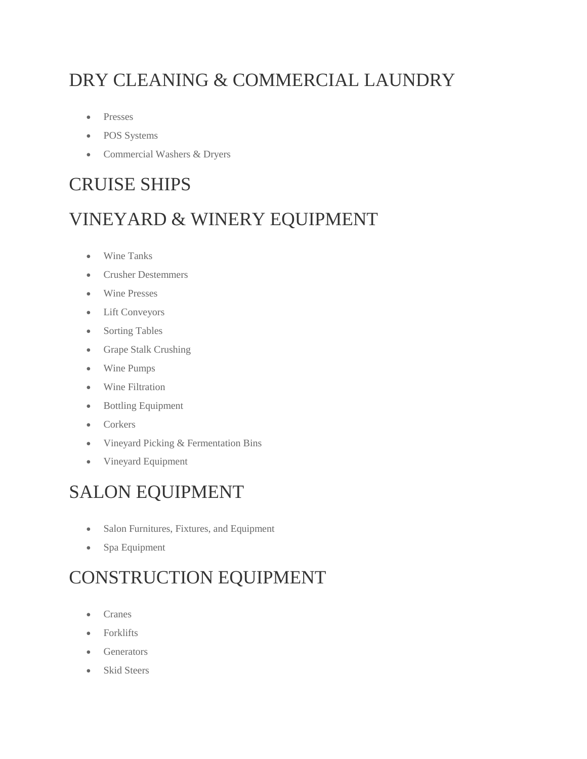# DRY CLEANING & COMMERCIAL LAUNDRY

- Presses
- POS Systems
- Commercial Washers & Dryers

#### CRUISE SHIPS

#### VINEYARD & WINERY EQUIPMENT

- Wine Tanks
- Crusher Destemmers
- Wine Presses
- Lift Conveyors
- Sorting Tables
- Grape Stalk Crushing
- Wine Pumps
- Wine Filtration
- Bottling Equipment
- Corkers
- Vineyard Picking & Fermentation Bins
- Vineyard Equipment

#### SALON EQUIPMENT

- Salon Furnitures, Fixtures, and Equipment
- Spa Equipment

# CONSTRUCTION EQUIPMENT

- Cranes
- Forklifts
- Generators
- Skid Steers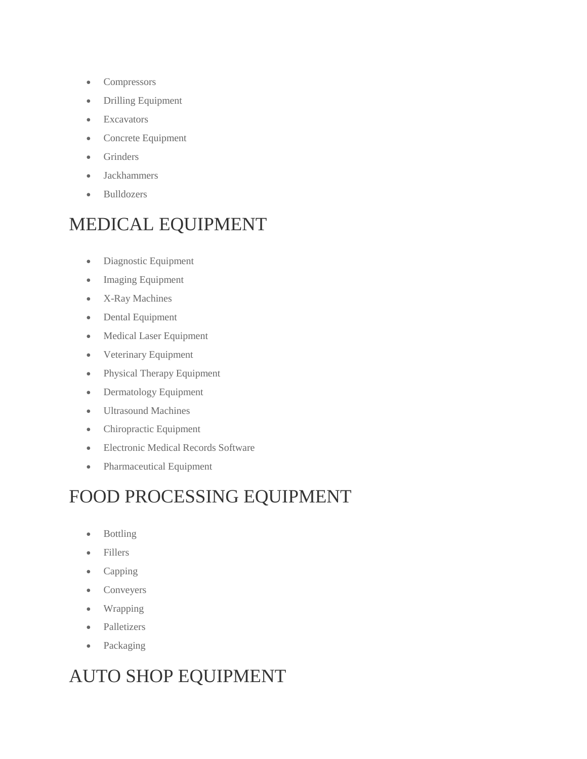- Compressors
- Drilling Equipment
- Excavators
- Concrete Equipment
- **•** Grinders
- Jackhammers
- Bulldozers

### MEDICAL EQUIPMENT

- Diagnostic Equipment
- Imaging Equipment
- X-Ray Machines
- Dental Equipment
- Medical Laser Equipment
- Veterinary Equipment
- Physical Therapy Equipment
- Dermatology Equipment
- Ultrasound Machines
- Chiropractic Equipment
- Electronic Medical Records Software
- Pharmaceutical Equipment

#### FOOD PROCESSING EQUIPMENT

- Bottling
- Fillers
- Capping
- Conveyers
- Wrapping
- Palletizers
- Packaging

# AUTO SHOP EQUIPMENT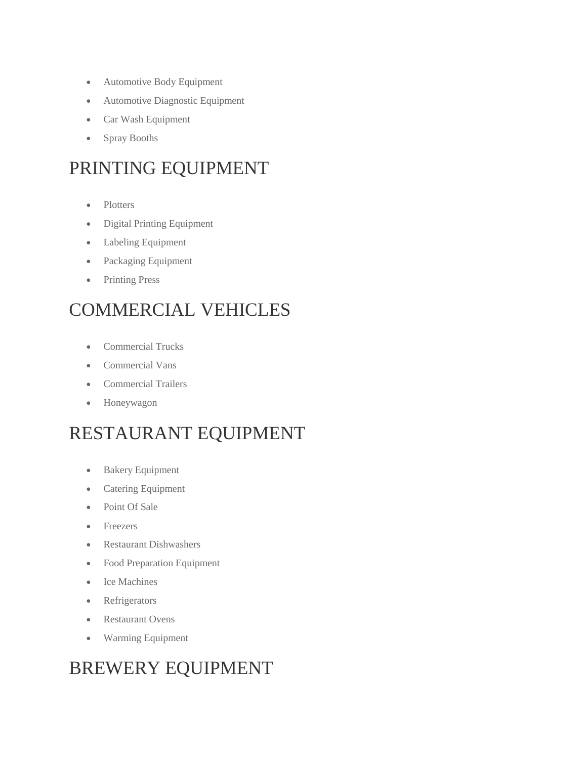- Automotive Body Equipment
- Automotive Diagnostic Equipment
- Car Wash Equipment
- Spray Booths

### PRINTING EQUIPMENT

- Plotters
- Digital Printing Equipment
- Labeling Equipment
- Packaging Equipment
- Printing Press

### COMMERCIAL VEHICLES

- Commercial Trucks
- Commercial Vans
- Commercial Trailers
- Honeywagon

#### RESTAURANT EQUIPMENT

- Bakery Equipment
- Catering Equipment
- Point Of Sale
- Freezers
- Restaurant Dishwashers
- Food Preparation Equipment
- Ice Machines
- Refrigerators
- Restaurant Ovens
- Warming Equipment

### BREWERY EQUIPMENT